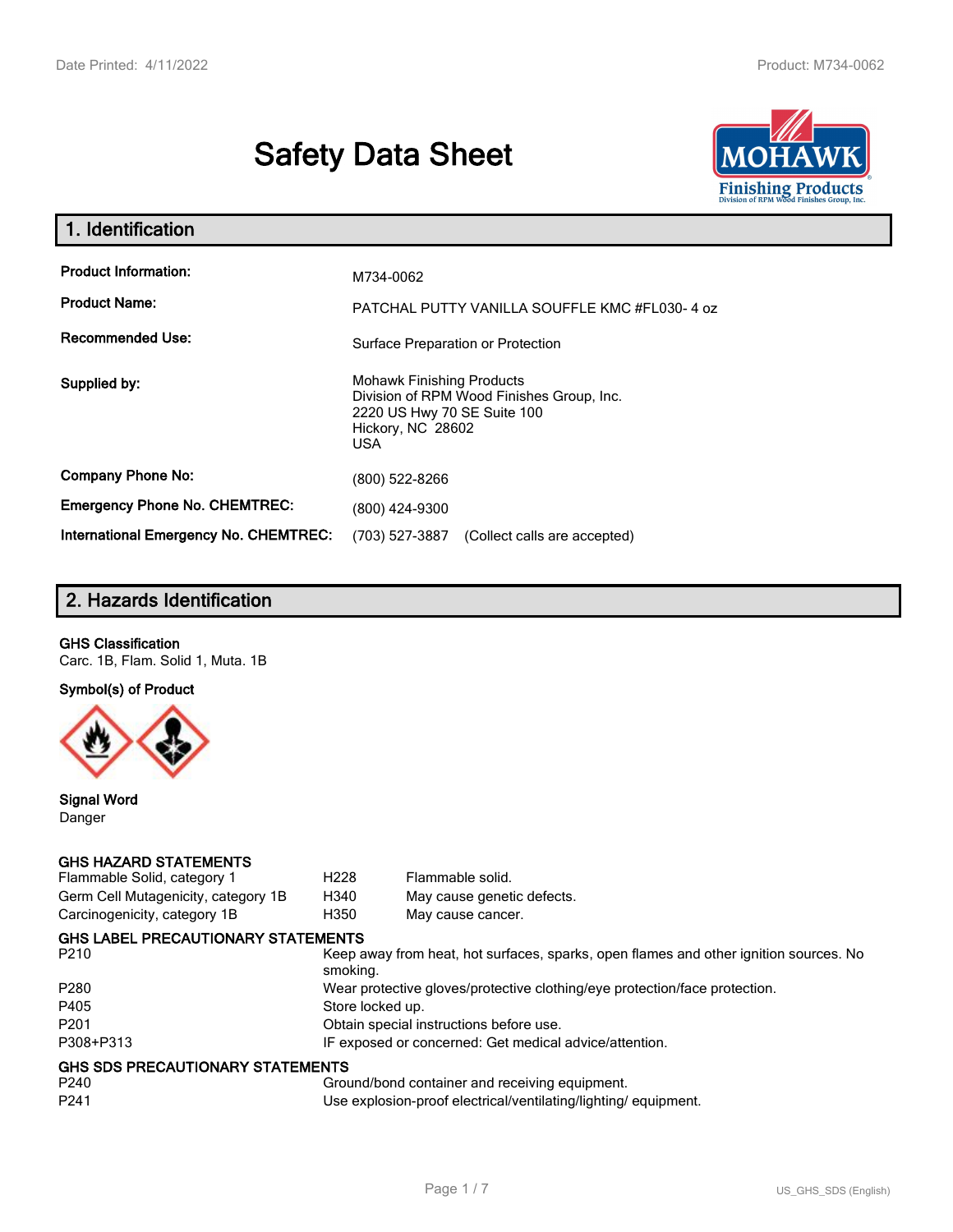# **Safety Data Sheet**



| 1. Identification                            |                                                                                                                                                 |
|----------------------------------------------|-------------------------------------------------------------------------------------------------------------------------------------------------|
| <b>Product Information:</b>                  | M734-0062                                                                                                                                       |
| <b>Product Name:</b>                         | PATCHAL PUTTY VANILLA SOUFFLE KMC #FL030-4 oz                                                                                                   |
| <b>Recommended Use:</b>                      | Surface Preparation or Protection                                                                                                               |
| Supplied by:                                 | <b>Mohawk Finishing Products</b><br>Division of RPM Wood Finishes Group, Inc.<br>2220 US Hwy 70 SE Suite 100<br>Hickory, NC 28602<br><b>USA</b> |
| <b>Company Phone No:</b>                     | (800) 522-8266                                                                                                                                  |
| <b>Emergency Phone No. CHEMTREC:</b>         | (800) 424-9300                                                                                                                                  |
| <b>International Emergency No. CHEMTREC:</b> | (703) 527-3887<br>(Collect calls are accepted)                                                                                                  |

# **2. Hazards Identification**

#### **GHS Classification**

Carc. 1B, Flam. Solid 1, Muta. 1B

**Symbol(s) of Product**



**Signal Word** Danger

#### **GHS HAZARD STATEMENTS**

| Flammable Solid, category 1               | H <sub>228</sub> | Flammable solid.                                                                      |
|-------------------------------------------|------------------|---------------------------------------------------------------------------------------|
| Germ Cell Mutagenicity, category 1B       | H340             | May cause genetic defects.                                                            |
| Carcinogenicity, category 1B              | H350             | May cause cancer.                                                                     |
| <b>GHS LABEL PRECAUTIONARY STATEMENTS</b> |                  |                                                                                       |
| P <sub>210</sub>                          | smoking.         | Keep away from heat, hot surfaces, sparks, open flames and other ignition sources. No |
| P <sub>280</sub>                          |                  | Wear protective gloves/protective clothing/eye protection/face protection.            |
| P405                                      | Store locked up. |                                                                                       |
| P <sub>201</sub>                          |                  | Obtain special instructions before use.                                               |
| P308+P313                                 |                  | IF exposed or concerned: Get medical advice/attention.                                |
| <b>GHS SDS PRECAUTIONARY STATEMENTS</b>   |                  |                                                                                       |
| P240                                      |                  | Ground/bond container and receiving equipment.                                        |
| P <sub>241</sub>                          |                  | Use explosion-proof electrical/ventilating/lighting/equipment.                        |
|                                           |                  |                                                                                       |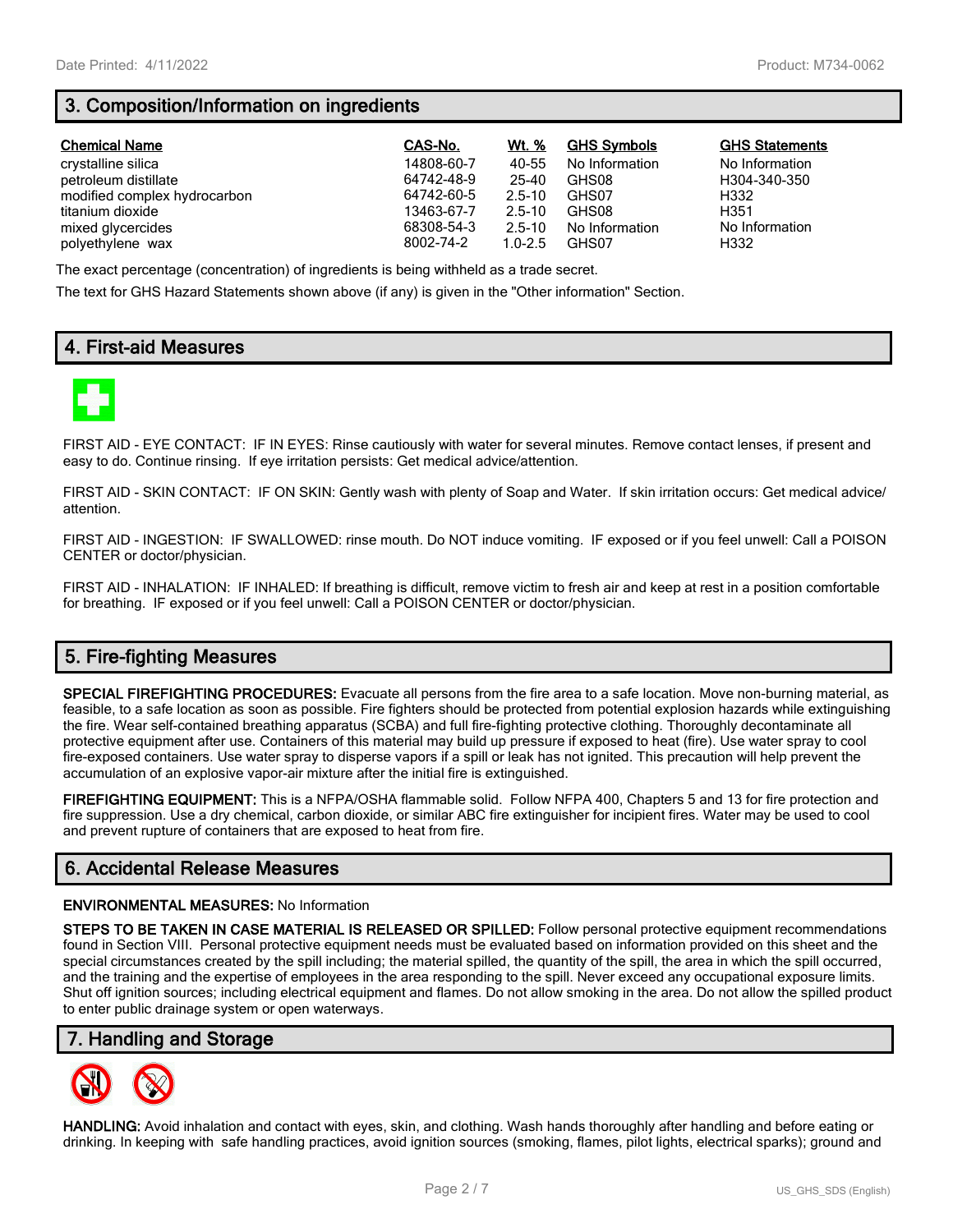# **3. Composition/Information on ingredients**

| <b>Chemical Name</b>         | CAS-No.    | Wt. %       | <b>GHS Symbols</b> | <b>GHS Statements</b> |
|------------------------------|------------|-------------|--------------------|-----------------------|
| crystalline silica           | 14808-60-7 | 40-55       | No Information     | No Information        |
| petroleum distillate         | 64742-48-9 | 25-40       | GHS08              | H304-340-350          |
| modified complex hydrocarbon | 64742-60-5 | $2.5 - 10$  | GHS07              | H332                  |
| titanium dioxide             | 13463-67-7 | $2.5 - 10$  | GHS08              | H351                  |
| mixed glycercides            | 68308-54-3 | $2.5 - 10$  | No Information     | No Information        |
| polyethylene wax             | 8002-74-2  | $1.0 - 2.5$ | GHS07              | H332                  |

The exact percentage (concentration) of ingredients is being withheld as a trade secret.

The text for GHS Hazard Statements shown above (if any) is given in the "Other information" Section.

## **4. First-aid Measures**



FIRST AID - EYE CONTACT: IF IN EYES: Rinse cautiously with water for several minutes. Remove contact lenses, if present and easy to do. Continue rinsing. If eye irritation persists: Get medical advice/attention.

FIRST AID - SKIN CONTACT: IF ON SKIN: Gently wash with plenty of Soap and Water. If skin irritation occurs: Get medical advice/ attention.

FIRST AID - INGESTION: IF SWALLOWED: rinse mouth. Do NOT induce vomiting. IF exposed or if you feel unwell: Call a POISON CENTER or doctor/physician.

FIRST AID - INHALATION: IF INHALED: If breathing is difficult, remove victim to fresh air and keep at rest in a position comfortable for breathing. IF exposed or if you feel unwell: Call a POISON CENTER or doctor/physician.

# **5. Fire-fighting Measures**

**SPECIAL FIREFIGHTING PROCEDURES:** Evacuate all persons from the fire area to a safe location. Move non-burning material, as feasible, to a safe location as soon as possible. Fire fighters should be protected from potential explosion hazards while extinguishing the fire. Wear self-contained breathing apparatus (SCBA) and full fire-fighting protective clothing. Thoroughly decontaminate all protective equipment after use. Containers of this material may build up pressure if exposed to heat (fire). Use water spray to cool fire-exposed containers. Use water spray to disperse vapors if a spill or leak has not ignited. This precaution will help prevent the accumulation of an explosive vapor-air mixture after the initial fire is extinguished.

**FIREFIGHTING EQUIPMENT:** This is a NFPA/OSHA flammable solid. Follow NFPA 400, Chapters 5 and 13 for fire protection and fire suppression. Use a dry chemical, carbon dioxide, or similar ABC fire extinguisher for incipient fires. Water may be used to cool and prevent rupture of containers that are exposed to heat from fire.

## **6. Accidental Release Measures**

#### **ENVIRONMENTAL MEASURES:** No Information

**STEPS TO BE TAKEN IN CASE MATERIAL IS RELEASED OR SPILLED:** Follow personal protective equipment recommendations found in Section VIII. Personal protective equipment needs must be evaluated based on information provided on this sheet and the special circumstances created by the spill including; the material spilled, the quantity of the spill, the area in which the spill occurred, and the training and the expertise of employees in the area responding to the spill. Never exceed any occupational exposure limits. Shut off ignition sources; including electrical equipment and flames. Do not allow smoking in the area. Do not allow the spilled product to enter public drainage system or open waterways.

### **7. Handling and Storage**



**HANDLING:** Avoid inhalation and contact with eyes, skin, and clothing. Wash hands thoroughly after handling and before eating or drinking. In keeping with safe handling practices, avoid ignition sources (smoking, flames, pilot lights, electrical sparks); ground and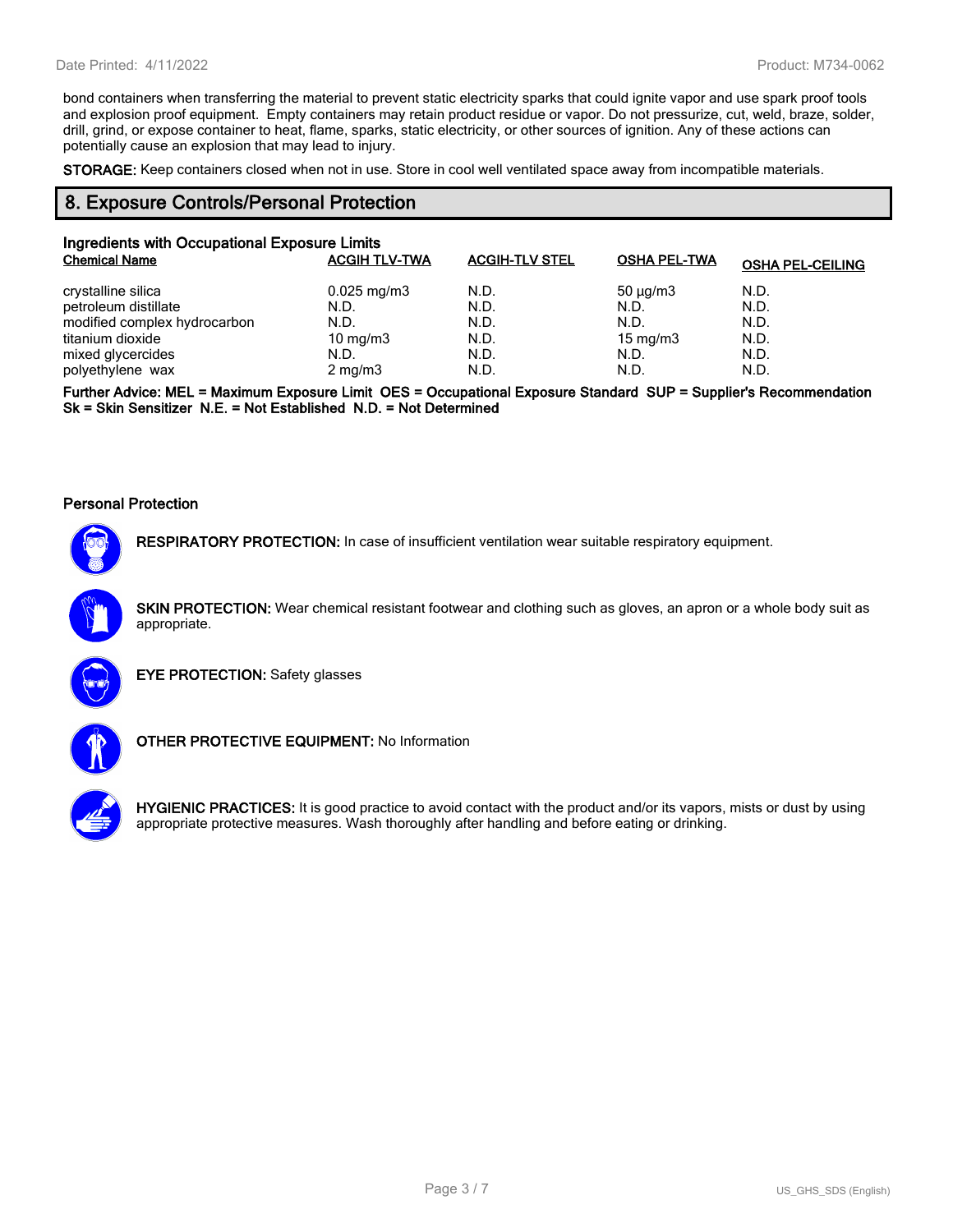bond containers when transferring the material to prevent static electricity sparks that could ignite vapor and use spark proof tools and explosion proof equipment. Empty containers may retain product residue or vapor. Do not pressurize, cut, weld, braze, solder, drill, grind, or expose container to heat, flame, sparks, static electricity, or other sources of ignition. Any of these actions can potentially cause an explosion that may lead to injury.

**STORAGE:** Keep containers closed when not in use. Store in cool well ventilated space away from incompatible materials.

### **8. Exposure Controls/Personal Protection**

| Ingredients with Occupational Exposure Limits |                      |                       |                     |                         |  |
|-----------------------------------------------|----------------------|-----------------------|---------------------|-------------------------|--|
| <b>Chemical Name</b>                          | <b>ACGIH TLV-TWA</b> | <b>ACGIH-TLV STEL</b> | <b>OSHA PEL-TWA</b> | <b>OSHA PEL-CEILING</b> |  |
| crystalline silica                            | $0.025$ mg/m $3$     | N.D.                  | $50 \mu q/m3$       | N.D.                    |  |
| petroleum distillate                          | N.D.                 | N.D.                  | N.D.                | N.D.                    |  |
| modified complex hydrocarbon                  | N.D.                 | N.D.                  | N.D.                | N.D.                    |  |
| titanium dioxide                              | 10 mg/m $3$          | N.D.                  | 15 mg/m $3$         | N.D.                    |  |
| mixed glycercides                             | N.D.                 | N.D.                  | N.D.                | N.D.                    |  |
| polyethylene wax                              | $2 \text{ mg/m}$     | N.D.                  | N.D.                | N.D.                    |  |

**Further Advice: MEL = Maximum Exposure Limit OES = Occupational Exposure Standard SUP = Supplier's Recommendation Sk = Skin Sensitizer N.E. = Not Established N.D. = Not Determined**

#### **Personal Protection**



**RESPIRATORY PROTECTION:** In case of insufficient ventilation wear suitable respiratory equipment.

**SKIN PROTECTION:** Wear chemical resistant footwear and clothing such as gloves, an apron or a whole body suit as appropriate.



**EYE PROTECTION:** Safety glasses



**OTHER PROTECTIVE EQUIPMENT:** No Information



**HYGIENIC PRACTICES:** It is good practice to avoid contact with the product and/or its vapors, mists or dust by using appropriate protective measures. Wash thoroughly after handling and before eating or drinking.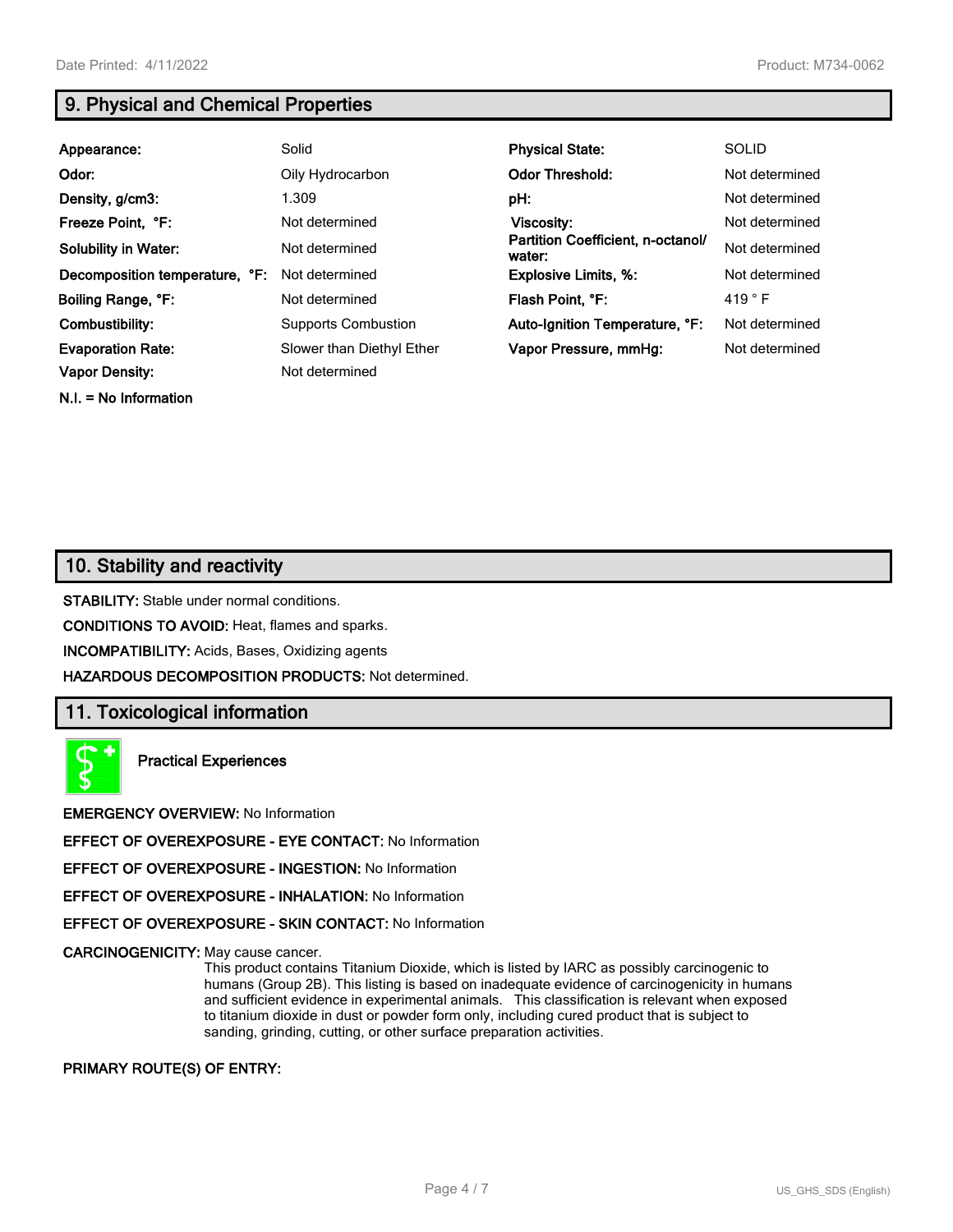**N.I. = No Information**

# **9. Physical and Chemical Properties**

| Appearance:                    | Solid                      | <b>Physical State:</b>                      | <b>SOLID</b>    |
|--------------------------------|----------------------------|---------------------------------------------|-----------------|
| Odor:                          | Oily Hydrocarbon           | <b>Odor Threshold:</b>                      | Not determined  |
| Density, g/cm3:                | 1.309                      | pH:                                         | Not determined  |
| Freeze Point, °F:              | Not determined             | <b>Viscosity:</b>                           | Not determined  |
| <b>Solubility in Water:</b>    | Not determined             | Partition Coefficient, n-octanol/<br>water: | Not determined  |
| Decomposition temperature, °F: | Not determined             | <b>Explosive Limits, %:</b>                 | Not determined  |
| Boiling Range, °F:             | Not determined             | Flash Point, °F:                            | 419 $\degree$ F |
| Combustibility:                | <b>Supports Combustion</b> | Auto-Ignition Temperature, °F:              | Not determined  |
| <b>Evaporation Rate:</b>       | Slower than Diethyl Ether  | Vapor Pressure, mmHg:                       | Not determined  |
| <b>Vapor Density:</b>          | Not determined             |                                             |                 |

## **10. Stability and reactivity**

**STABILITY:** Stable under normal conditions.

**CONDITIONS TO AVOID:** Heat, flames and sparks.

**INCOMPATIBILITY:** Acids, Bases, Oxidizing agents

**HAZARDOUS DECOMPOSITION PRODUCTS:** Not determined.

### **11. Toxicological information**

**Practical Experiences**

**EMERGENCY OVERVIEW:** No Information

**EFFECT OF OVEREXPOSURE - EYE CONTACT:** No Information

**EFFECT OF OVEREXPOSURE - INGESTION:** No Information

**EFFECT OF OVEREXPOSURE - INHALATION:** No Information

**EFFECT OF OVEREXPOSURE - SKIN CONTACT:** No Information

**CARCINOGENICITY:** May cause cancer.

This product contains Titanium Dioxide, which is listed by IARC as possibly carcinogenic to humans (Group 2B). This listing is based on inadequate evidence of carcinogenicity in humans and sufficient evidence in experimental animals. This classification is relevant when exposed to titanium dioxide in dust or powder form only, including cured product that is subject to sanding, grinding, cutting, or other surface preparation activities.

**PRIMARY ROUTE(S) OF ENTRY:**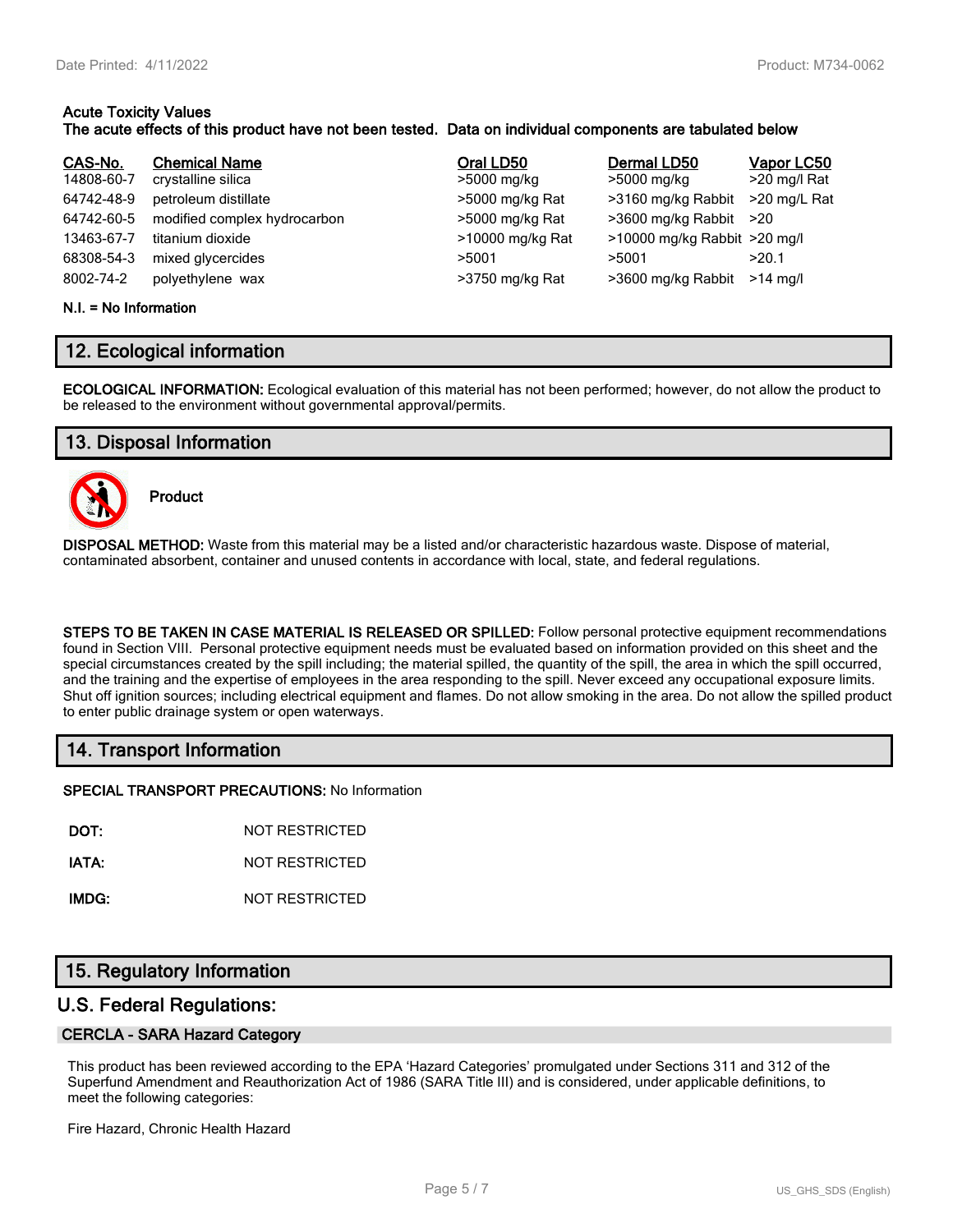## **Acute Toxicity Values**

#### **The acute effects of this product have not been tested. Data on individual components are tabulated below**

| CAS-No.<br>14808-60-7<br>64742-48-9<br>64742-60-5<br>13463-67-7<br>68308-54-3<br>8002-74-2 | <b>Chemical Name</b><br>crystalline silica<br>petroleum distillate<br>modified complex hydrocarbon<br>titanium dioxide<br>mixed glycercides<br>polyethylene wax | Oral LD50<br>>5000 mg/kg<br>>5000 mg/kg Rat<br>>5000 mg/kg Rat<br>>10000 mg/kg Rat<br>>5001<br>>3750 mg/kg Rat | Dermal LD50<br>>5000 mg/kg<br>>3160 mg/kg Rabbit<br>>3600 mg/kg Rabbit >20<br>>10000 mg/kg Rabbit >20 mg/l<br>>5001<br>>3600 mg/kg Rabbit | Vapor LC50<br>>20 mg/l Rat<br>>20 mg/L Rat<br>>20.1<br>$>14$ ma/l |
|--------------------------------------------------------------------------------------------|-----------------------------------------------------------------------------------------------------------------------------------------------------------------|----------------------------------------------------------------------------------------------------------------|-------------------------------------------------------------------------------------------------------------------------------------------|-------------------------------------------------------------------|
|                                                                                            |                                                                                                                                                                 |                                                                                                                |                                                                                                                                           |                                                                   |

#### **N.I. = No Information**

## **12. Ecological information**

**ECOLOGICAL INFORMATION:** Ecological evaluation of this material has not been performed; however, do not allow the product to be released to the environment without governmental approval/permits.

## **13. Disposal Information**



**Product**

**DISPOSAL METHOD:** Waste from this material may be a listed and/or characteristic hazardous waste. Dispose of material, contaminated absorbent, container and unused contents in accordance with local, state, and federal regulations.

**STEPS TO BE TAKEN IN CASE MATERIAL IS RELEASED OR SPILLED:** Follow personal protective equipment recommendations found in Section VIII. Personal protective equipment needs must be evaluated based on information provided on this sheet and the special circumstances created by the spill including; the material spilled, the quantity of the spill, the area in which the spill occurred, and the training and the expertise of employees in the area responding to the spill. Never exceed any occupational exposure limits. Shut off ignition sources; including electrical equipment and flames. Do not allow smoking in the area. Do not allow the spilled product to enter public drainage system or open waterways.

## **14. Transport Information**

**SPECIAL TRANSPORT PRECAUTIONS:** No Information

**DOT:** NOT RESTRICTED

**IATA:** NOT RESTRICTED

**IMDG:** NOT RESTRICTED

## **15. Regulatory Information**

### **U.S. Federal Regulations:**

#### **CERCLA - SARA Hazard Category**

This product has been reviewed according to the EPA 'Hazard Categories' promulgated under Sections 311 and 312 of the Superfund Amendment and Reauthorization Act of 1986 (SARA Title III) and is considered, under applicable definitions, to meet the following categories:

Fire Hazard, Chronic Health Hazard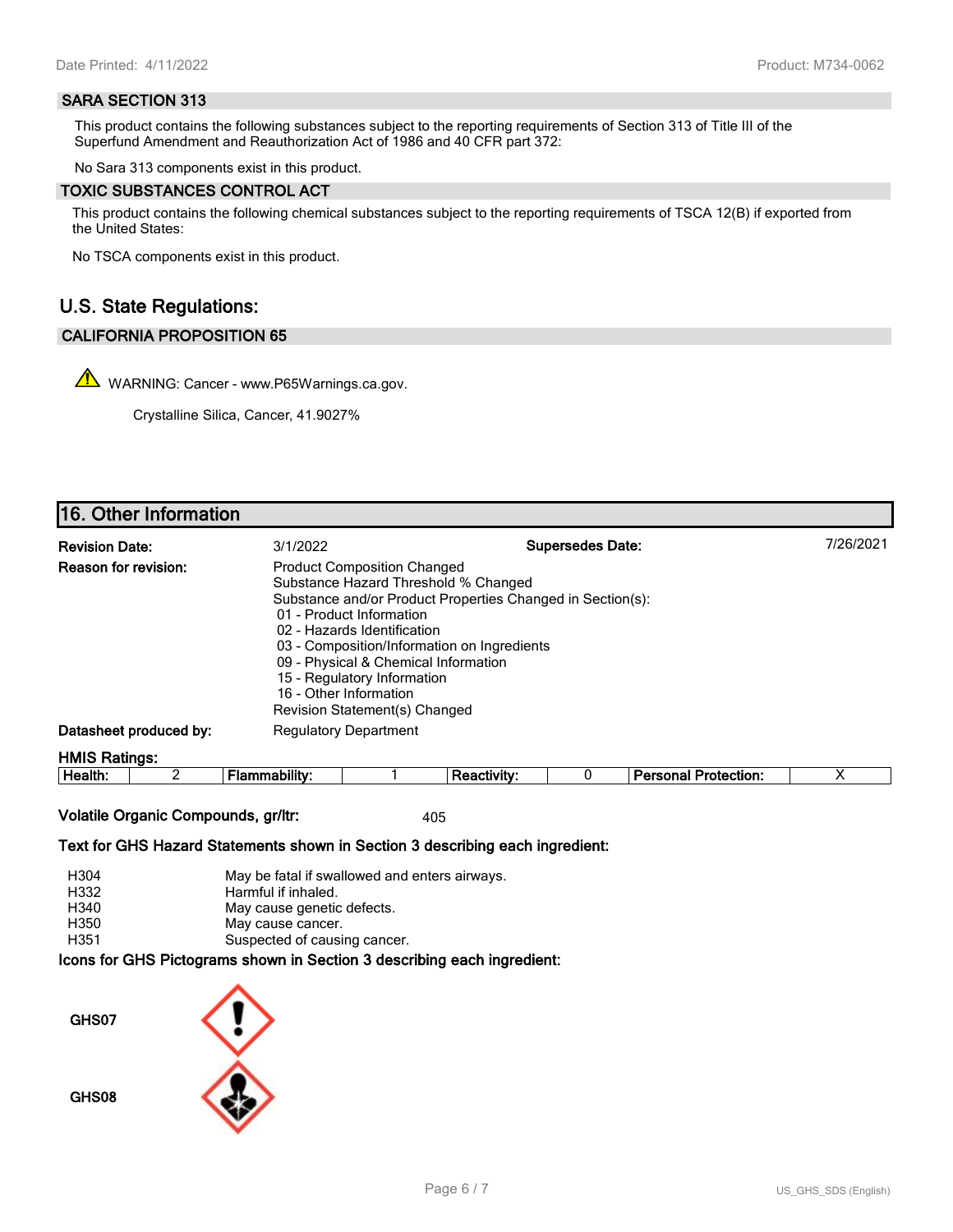#### **SARA SECTION 313**

This product contains the following substances subject to the reporting requirements of Section 313 of Title III of the Superfund Amendment and Reauthorization Act of 1986 and 40 CFR part 372:

No Sara 313 components exist in this product.

#### **TOXIC SUBSTANCES CONTROL ACT**

This product contains the following chemical substances subject to the reporting requirements of TSCA 12(B) if exported from the United States:

No TSCA components exist in this product.

## **U.S. State Regulations:**

#### **CALIFORNIA PROPOSITION 65**

WARNING: Cancer - www.P65Warnings.ca.gov.

Crystalline Silica, Cancer, 41.9027%

# **16. Other Information**

| <b>Revision Date:</b>       | 3/1/2022                                                                                                                                                                                                                                                                                                               | <b>Supersedes Date:</b>                                    | 7/26/2021 |
|-----------------------------|------------------------------------------------------------------------------------------------------------------------------------------------------------------------------------------------------------------------------------------------------------------------------------------------------------------------|------------------------------------------------------------|-----------|
| <b>Reason for revision:</b> | <b>Product Composition Changed</b><br>Substance Hazard Threshold % Changed<br>01 - Product Information<br>02 - Hazards Identification<br>03 - Composition/Information on Ingredients<br>09 - Physical & Chemical Information<br>15 - Regulatory Information<br>16 - Other Information<br>Revision Statement(s) Changed | Substance and/or Product Properties Changed in Section(s): |           |
| Datasheet produced by:      | <b>Regulatory Department</b>                                                                                                                                                                                                                                                                                           |                                                            |           |
| <b>HMIS Ratings:</b>        |                                                                                                                                                                                                                                                                                                                        |                                                            |           |

| .<br>ᅩᄖ<br>ction<br>. |  | He<br>antn. |  |  |  |  |  |  |  |
|-----------------------|--|-------------|--|--|--|--|--|--|--|
|-----------------------|--|-------------|--|--|--|--|--|--|--|

**Volatile Organic Compounds, gr/ltr:** 405

**Text for GHS Hazard Statements shown in Section 3 describing each ingredient:**

| H304 | May be fatal if swallowed and enters airways.                         |
|------|-----------------------------------------------------------------------|
| H332 | Harmful if inhaled.                                                   |
| H340 | May cause genetic defects.                                            |
| H350 | May cause cancer.                                                     |
| H351 | Suspected of causing cancer.                                          |
|      | la ang fan AllA Blatannanga akanya la Asatlan A daganlika a gagli han |

**Icons for GHS Pictograms shown in Section 3 describing each ingredient:**